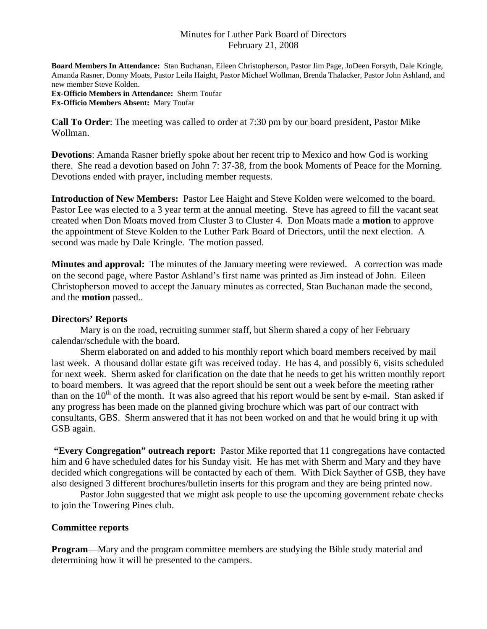### Minutes for Luther Park Board of Directors February 21, 2008

**Board Members In Attendance:** Stan Buchanan, Eileen Christopherson, Pastor Jim Page, JoDeen Forsyth, Dale Kringle, Amanda Rasner, Donny Moats, Pastor Leila Haight, Pastor Michael Wollman, Brenda Thalacker, Pastor John Ashland, and new member Steve Kolden. **Ex-Officio Members in Attendance:** Sherm Toufar

**Ex-Officio Members Absent:** Mary Toufar

**Call To Order**: The meeting was called to order at 7:30 pm by our board president, Pastor Mike Wollman.

**Devotions**: Amanda Rasner briefly spoke about her recent trip to Mexico and how God is working there. She read a devotion based on John 7: 37-38, from the book Moments of Peace for the Morning. Devotions ended with prayer, including member requests.

**Introduction of New Members:** Pastor Lee Haight and Steve Kolden were welcomed to the board. Pastor Lee was elected to a 3 year term at the annual meeting. Steve has agreed to fill the vacant seat created when Don Moats moved from Cluster 3 to Cluster 4. Don Moats made a **motion** to approve the appointment of Steve Kolden to the Luther Park Board of Driectors, until the next election. A second was made by Dale Kringle. The motion passed.

**Minutes and approval:** The minutes of the January meeting were reviewed. A correction was made on the second page, where Pastor Ashland's first name was printed as Jim instead of John. Eileen Christopherson moved to accept the January minutes as corrected, Stan Buchanan made the second, and the **motion** passed..

#### **Directors' Reports**

 Mary is on the road, recruiting summer staff, but Sherm shared a copy of her February calendar/schedule with the board.

Sherm elaborated on and added to his monthly report which board members received by mail last week. A thousand dollar estate gift was received today. He has 4, and possibly 6, visits scheduled for next week. Sherm asked for clarification on the date that he needs to get his written monthly report to board members. It was agreed that the report should be sent out a week before the meeting rather than on the  $10<sup>th</sup>$  of the month. It was also agreed that his report would be sent by e-mail. Stan asked if any progress has been made on the planned giving brochure which was part of our contract with consultants, GBS. Sherm answered that it has not been worked on and that he would bring it up with GSB again.

**"Every Congregation" outreach report:** Pastor Mike reported that 11 congregations have contacted him and 6 have scheduled dates for his Sunday visit. He has met with Sherm and Mary and they have decided which congregations will be contacted by each of them. With Dick Sayther of GSB, they have also designed 3 different brochures/bulletin inserts for this program and they are being printed now.

 Pastor John suggested that we might ask people to use the upcoming government rebate checks to join the Towering Pines club.

### **Committee reports**

**Program**—Mary and the program committee members are studying the Bible study material and determining how it will be presented to the campers.